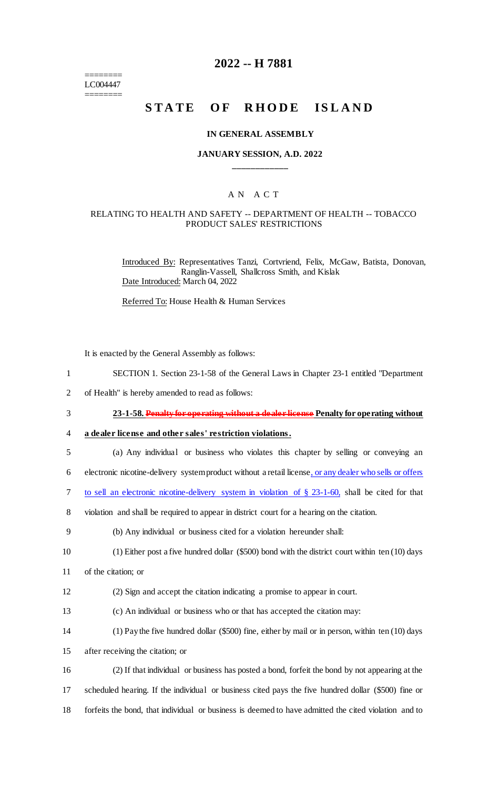======== LC004447 ========

## **2022 -- H 7881**

# **STATE OF RHODE ISLAND**

#### **IN GENERAL ASSEMBLY**

#### **JANUARY SESSION, A.D. 2022 \_\_\_\_\_\_\_\_\_\_\_\_**

#### A N A C T

#### RELATING TO HEALTH AND SAFETY -- DEPARTMENT OF HEALTH -- TOBACCO PRODUCT SALES' RESTRICTIONS

Introduced By: Representatives Tanzi, Cortvriend, Felix, McGaw, Batista, Donovan, Ranglin-Vassell, Shallcross Smith, and Kislak Date Introduced: March 04, 2022

Referred To: House Health & Human Services

It is enacted by the General Assembly as follows:

- 1 SECTION 1. Section 23-1-58 of the General Laws in Chapter 23-1 entitled "Department
- 2 of Health" is hereby amended to read as follows:
- 3 **23-1-58. Penalty for operating without a dealer license Penalty for operating without**

4 **a dealer license and other sales' restriction violations.**

- 5 (a) Any individual or business who violates this chapter by selling or conveying an
- 6 electronic nicotine-delivery system product without a retail license, or any dealer who sells or offers
- 7 to sell an electronic nicotine-delivery system in violation of § 23-1-60, shall be cited for that
- 8 violation and shall be required to appear in district court for a hearing on the citation.
- 9 (b) Any individual or business cited for a violation hereunder shall:
- 10 (1) Either post a five hundred dollar (\$500) bond with the district court within ten (10) days
- 11 of the citation; or
- 12 (2) Sign and accept the citation indicating a promise to appear in court.
- 13 (c) An individual or business who or that has accepted the citation may:
- 14 (1) Pay the five hundred dollar (\$500) fine, either by mail or in person, within ten (10) days
- 15 after receiving the citation; or
- 16 (2) If that individual or business has posted a bond, forfeit the bond by not appearing at the 17 scheduled hearing. If the individual or business cited pays the five hundred dollar (\$500) fine or 18 forfeits the bond, that individual or business is deemed to have admitted the cited violation and to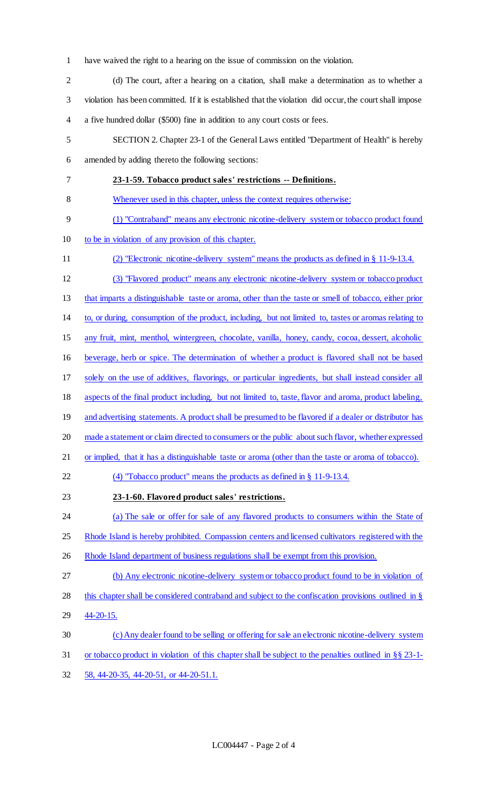- have waived the right to a hearing on the issue of commission on the violation.
- (d) The court, after a hearing on a citation, shall make a determination as to whether a violation has been committed. If it is established that the violation did occur, the court shall impose a five hundred dollar (\$500) fine in addition to any court costs or fees. SECTION 2. Chapter 23-1 of the General Laws entitled "Department of Health" is hereby amended by adding thereto the following sections: **23-1-59. Tobacco product sales' restrictions -- Definitions.**  Whenever used in this chapter, unless the context requires otherwise: (1) "Contraband" means any electronic nicotine-delivery system or tobacco product found to be in violation of any provision of this chapter. (2) "Electronic nicotine-delivery system" means the products as defined in § 11-9-13.4. (3) "Flavored product" means any electronic nicotine-delivery system or tobacco product that imparts a distinguishable taste or aroma, other than the taste or smell of tobacco, either prior to, or during, consumption of the product, including, but not limited to, tastes or aromas relating to any fruit, mint, menthol, wintergreen, chocolate, vanilla, honey, candy, cocoa, dessert, alcoholic beverage, herb or spice. The determination of whether a product is flavored shall not be based solely on the use of additives, flavorings, or particular ingredients, but shall instead consider all aspects of the final product including, but not limited to, taste, flavor and aroma, product labeling, 19 and advertising statements. A product shall be presumed to be flavored if a dealer or distributor has made a statement or claim directed to consumers or the public about such flavor, whether expressed or implied, that it has a distinguishable taste or aroma (other than the taste or aroma of tobacco). (4) "Tobacco product" means the products as defined in § 11-9-13.4. **23-1-60. Flavored product sales' restrictions.**  24 (a) The sale or offer for sale of any flavored products to consumers within the State of 25 Rhode Island is hereby prohibited. Compassion centers and licensed cultivators registered with the 26 Rhode Island department of business regulations shall be exempt from this provision. (b) Any electronic nicotine-delivery system or tobacco product found to be in violation of this chapter shall be considered contraband and subject to the confiscation provisions outlined in § 44-20-15. (c) Any dealer found to be selling or offering for sale an electronic nicotine-delivery system or tobacco product in violation of this chapter shall be subject to the penalties outlined in §§ 23-1- 58, 44-20-35, 44-20-51, or 44-20-51.1.
	- LC004447 Page 2 of 4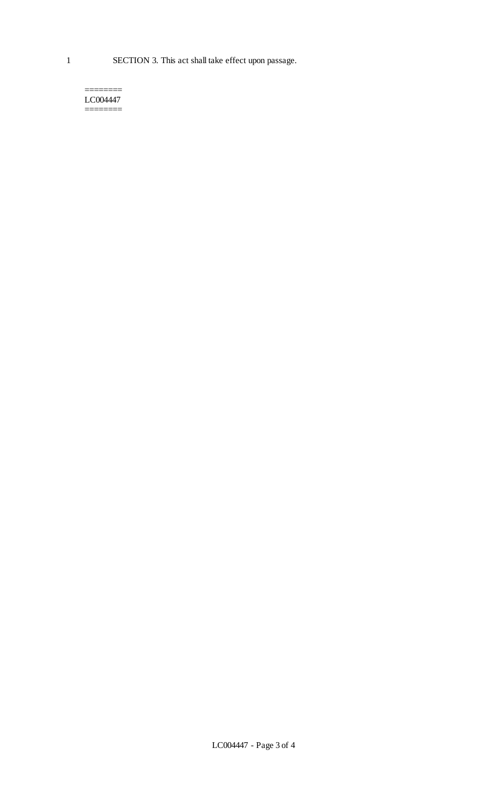======== LC004447 ========